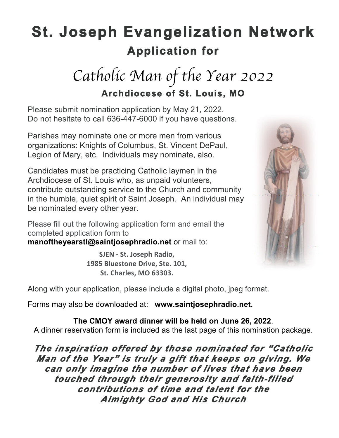# **St. Joseph Evangelization Network Application for**

# *Catholic Man of the Year 2022* **Archdiocese of St. Louis, MO**

Please submit nomination application by May 21, 2022. Do not hesitate to call 636-447-6000 if you have questions.

Parishes may nominate one or more men from various organizations: Knights of Columbus, St. Vincent DePaul, Legion of Mary, etc. Individuals may nominate, also.

Candidates must be practicing Catholic laymen in the Archdiocese of St. Louis who, as unpaid volunteers, contribute outstanding service to the Church and community in the humble, quiet spirit of Saint Joseph. An individual may be nominated every other year.

Please fill out the following application form and email the completed application form to

**manoftheyearstl@saintjosephradio.net** or mail to:

**SJEN - St. Joseph Radio, 1985 Bluestone Drive, Ste. 101, St. Charles, MO 63303.**



Along with your application, please include a digital photo, jpeg format.

Forms may also be downloaded at: **www.saintjosephradio.net.**

**The CMOY award dinner will be held on June 26, 2022**. A dinner reservation form is included as the last page of this nomination package.

*The inspiration offered by those nominated for "Catholic Man of the Year" is truly a gift that keeps on giving. We can only imagine the number of lives that have been touched through their generosity and faith-filled contributions of time and talent for the Almighty God and His Church*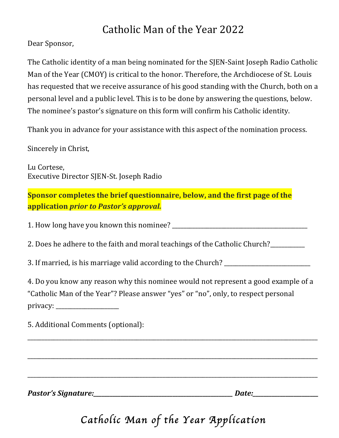## Catholic Man of the Year 2022

Dear Sponsor,

The Catholic identity of a man being nominated for the SJEN-Saint Joseph Radio Catholic Man of the Year (CMOY) is critical to the honor. Therefore, the Archdiocese of St. Louis has requested that we receive assurance of his good standing with the Church, both on a personal level and a public level. This is to be done by answering the questions, below. The nominee's pastor's signature on this form will confirm his Catholic identity.

Thank you in advance for your assistance with this aspect of the nomination process.

Sincerely in Christ,

Lu Cortese, Executive Director SIEN-St. Joseph Radio

**Sponsor completes the brief questionnaire, below, and the first page of the application** *prior* to Pastor's approval.

1. How long have you known this nominee? \_\_\_\_\_\_\_\_\_\_\_\_\_\_\_\_\_\_\_\_\_\_\_\_\_\_\_\_\_\_\_\_\_\_\_\_\_\_\_\_\_\_\_\_\_\_\_

2. Does he adhere to the faith and moral teachings of the Catholic Church?

3. If married, is his marriage valid according to the Church? \_\_\_\_\_\_\_\_\_\_\_\_\_\_\_\_\_\_

4. Do you know any reason why this nominee would not represent a good example of a "Catholic Man of the Year"? Please answer "yes" or "no", only, to respect personal privacy: \_\_\_\_\_\_\_\_\_\_\_\_\_\_\_\_\_\_\_\_\_\_

\_\_\_\_\_\_\_\_\_\_\_\_\_\_\_\_\_\_\_\_\_\_\_\_\_\_\_\_\_\_\_\_\_\_\_\_\_\_\_\_\_\_\_\_\_\_\_\_\_\_\_\_\_\_\_\_\_\_\_\_\_\_\_\_\_\_\_\_\_\_\_\_\_\_\_\_\_\_\_\_\_\_\_\_\_\_\_\_\_\_\_\_\_\_\_\_\_\_\_\_\_

\_\_\_\_\_\_\_\_\_\_\_\_\_\_\_\_\_\_\_\_\_\_\_\_\_\_\_\_\_\_\_\_\_\_\_\_\_\_\_\_\_\_\_\_\_\_\_\_\_\_\_\_\_\_\_\_\_\_\_\_\_\_\_\_\_\_\_\_\_\_\_\_\_\_\_\_\_\_\_\_\_\_\_\_\_\_\_\_\_\_\_\_\_\_\_\_\_\_\_\_\_

\_\_\_\_\_\_\_\_\_\_\_\_\_\_\_\_\_\_\_\_\_\_\_\_\_\_\_\_\_\_\_\_\_\_\_\_\_\_\_\_\_\_\_\_\_\_\_\_\_\_\_\_\_\_\_\_\_\_\_\_\_\_\_\_\_\_\_\_\_\_\_\_\_\_\_\_\_\_\_\_\_\_\_\_\_\_\_\_\_\_\_\_\_\_\_\_\_\_\_\_\_

5. Additional Comments (optional):

*Pastor's Signature:\_\_\_\_\_\_\_\_\_\_\_\_\_\_\_\_\_\_\_\_\_\_\_\_\_\_\_\_\_\_\_\_\_\_\_\_\_\_\_\_\_\_\_\_\_\_\_\_\_\_\_ Date:\_\_\_\_\_\_\_\_\_\_\_\_\_\_\_\_\_\_\_\_\_\_\_\_*

## *Catholic Man of the Year Application*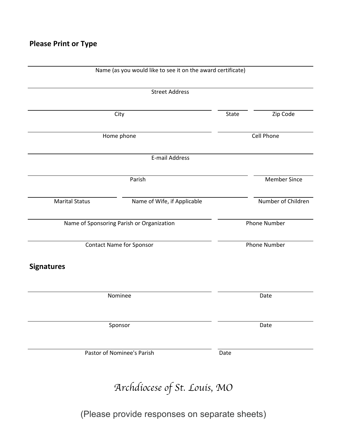| <b>Street Address</b>                     |  |                                                    |  |  |
|-------------------------------------------|--|----------------------------------------------------|--|--|
|                                           |  |                                                    |  |  |
| City                                      |  |                                                    |  |  |
| Home phone                                |  |                                                    |  |  |
| E-mail Address                            |  |                                                    |  |  |
| Parish                                    |  |                                                    |  |  |
| Name of Wife, if Applicable               |  | Number of Children                                 |  |  |
| Name of Sponsoring Parish or Organization |  | Phone Number                                       |  |  |
| <b>Contact Name for Sponsor</b>           |  |                                                    |  |  |
|                                           |  |                                                    |  |  |
| Nominee                                   |  | Date                                               |  |  |
| Sponsor                                   |  |                                                    |  |  |
| Pastor of Nominee's Parish                |  |                                                    |  |  |
|                                           |  | State<br>Cell Phone<br><b>Phone Number</b><br>Date |  |  |

*Archdiocese of St. Louis, MO*

(Please provide responses on separate sheets)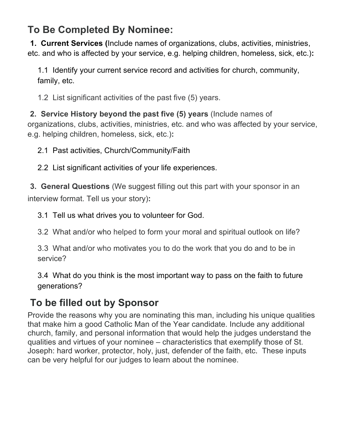#### **To Be Completed By Nominee:**

**1. Current Services (**Include names of organizations, clubs, activities, ministries, etc. and who is affected by your service, e.g. helping children, homeless, sick, etc.)**:**

1.1 Identify your current service record and activities for church, community, family, etc.

1.2 List significant activities of the past five (5) years.

**2. Service History beyond the past five (5) years** (Include names of organizations, clubs, activities, ministries, etc. and who was affected by your service, e.g. helping children, homeless, sick, etc.)**:**

2.1 Past activities, Church/Community/Faith

2.2 List significant activities of your life experiences.

**3. General Questions** (We suggest filling out this part with your sponsor in an interview format. Tell us your story)**:**

3.1 Tell us what drives you to volunteer for God.

3.2 What and/or who helped to form your moral and spiritual outlook on life?

3.3 What and/or who motivates you to do the work that you do and to be in service?

3.4 What do you think is the most important way to pass on the faith to future generations?

#### **To be filled out by Sponsor**

Provide the reasons why you are nominating this man, including his unique qualities that make him a good Catholic Man of the Year candidate. Include any additional church, family, and personal information that would help the judges understand the qualities and virtues of your nominee – characteristics that exemplify those of St. Joseph: hard worker, protector, holy, just, defender of the faith, etc. These inputs can be very helpful for our judges to learn about the nominee.